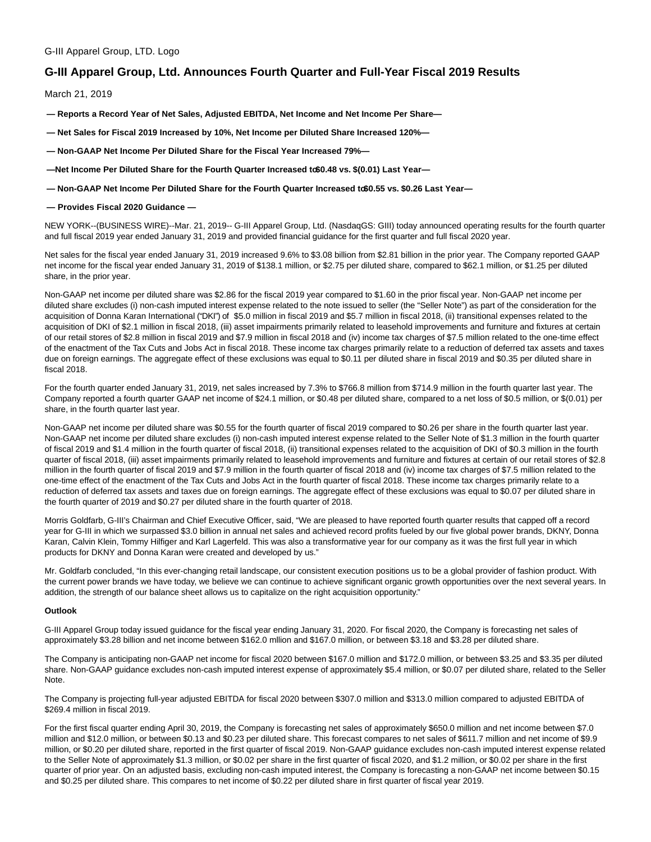# **G-III Apparel Group, Ltd. Announces Fourth Quarter and Full-Year Fiscal 2019 Results**

March 21, 2019

**— Reports a Record Year of Net Sales, Adjusted EBITDA, Net Income and Net Income Per Share—**

- **Net Sales for Fiscal 2019 Increased by 10%, Net Income per Diluted Share Increased 120%—**
- **Non-GAAP Net Income Per Diluted Share for the Fiscal Year Increased 79%—**
- -Net Income Per Diluted Share for the Fourth Quarter Increased to \$0.48 vs. \$(0.01) Last Year-
- $-$  Non-GAAP Net Income Per Diluted Share for the Fourth Quarter Increased to \$0.55 vs. \$0.26 Last Year-

### **— Provides Fiscal 2020 Guidance —**

NEW YORK--(BUSINESS WIRE)--Mar. 21, 2019-- G-III Apparel Group, Ltd. (NasdaqGS: GIII) today announced operating results for the fourth quarter and full fiscal 2019 year ended January 31, 2019 and provided financial guidance for the first quarter and full fiscal 2020 year.

Net sales for the fiscal year ended January 31, 2019 increased 9.6% to \$3.08 billion from \$2.81 billion in the prior year. The Company reported GAAP net income for the fiscal year ended January 31, 2019 of \$138.1 million, or \$2.75 per diluted share, compared to \$62.1 million, or \$1.25 per diluted share, in the prior year.

Non-GAAP net income per diluted share was \$2.86 for the fiscal 2019 year compared to \$1.60 in the prior fiscal year. Non-GAAP net income per diluted share excludes (i) non-cash imputed interest expense related to the note issued to seller (the "Seller Note") as part of the consideration for the acquisition of Donna Karan International ("DKI") of \$5.0 million in fiscal 2019 and \$5.7 million in fiscal 2018, (ii) transitional expenses related to the acquisition of DKI of \$2.1 million in fiscal 2018, (iii) asset impairments primarily related to leasehold improvements and furniture and fixtures at certain of our retail stores of \$2.8 million in fiscal 2019 and \$7.9 million in fiscal 2018 and (iv) income tax charges of \$7.5 million related to the one-time effect of the enactment of the Tax Cuts and Jobs Act in fiscal 2018. These income tax charges primarily relate to a reduction of deferred tax assets and taxes due on foreign earnings. The aggregate effect of these exclusions was equal to \$0.11 per diluted share in fiscal 2019 and \$0.35 per diluted share in fiscal 2018.

For the fourth quarter ended January 31, 2019, net sales increased by 7.3% to \$766.8 million from \$714.9 million in the fourth quarter last year. The Company reported a fourth quarter GAAP net income of \$24.1 million, or \$0.48 per diluted share, compared to a net loss of \$0.5 million, or \$(0.01) per share, in the fourth quarter last year.

Non-GAAP net income per diluted share was \$0.55 for the fourth quarter of fiscal 2019 compared to \$0.26 per share in the fourth quarter last year. Non-GAAP net income per diluted share excludes (i) non-cash imputed interest expense related to the Seller Note of \$1.3 million in the fourth quarter of fiscal 2019 and \$1.4 million in the fourth quarter of fiscal 2018, (ii) transitional expenses related to the acquisition of DKI of \$0.3 million in the fourth quarter of fiscal 2018, (iii) asset impairments primarily related to leasehold improvements and furniture and fixtures at certain of our retail stores of \$2.8 million in the fourth quarter of fiscal 2019 and \$7.9 million in the fourth quarter of fiscal 2018 and (iv) income tax charges of \$7.5 million related to the one-time effect of the enactment of the Tax Cuts and Jobs Act in the fourth quarter of fiscal 2018. These income tax charges primarily relate to a reduction of deferred tax assets and taxes due on foreign earnings. The aggregate effect of these exclusions was equal to \$0.07 per diluted share in the fourth quarter of 2019 and \$0.27 per diluted share in the fourth quarter of 2018.

Morris Goldfarb, G-III's Chairman and Chief Executive Officer, said, "We are pleased to have reported fourth quarter results that capped off a record year for G-III in which we surpassed \$3.0 billion in annual net sales and achieved record profits fueled by our five global power brands, DKNY, Donna Karan, Calvin Klein, Tommy Hilfiger and Karl Lagerfeld. This was also a transformative year for our company as it was the first full year in which products for DKNY and Donna Karan were created and developed by us."

Mr. Goldfarb concluded, "In this ever-changing retail landscape, our consistent execution positions us to be a global provider of fashion product. With the current power brands we have today, we believe we can continue to achieve significant organic growth opportunities over the next several years. In addition, the strength of our balance sheet allows us to capitalize on the right acquisition opportunity."

#### **Outlook**

G-III Apparel Group today issued guidance for the fiscal year ending January 31, 2020. For fiscal 2020, the Company is forecasting net sales of approximately \$3.28 billion and net income between \$162.0 mllion and \$167.0 million, or between \$3.18 and \$3.28 per diluted share.

The Company is anticipating non-GAAP net income for fiscal 2020 between \$167.0 million and \$172.0 million, or between \$3.25 and \$3.35 per diluted share. Non-GAAP guidance excludes non-cash imputed interest expense of approximately \$5.4 million, or \$0.07 per diluted share, related to the Seller Note.

The Company is projecting full-year adjusted EBITDA for fiscal 2020 between \$307.0 million and \$313.0 million compared to adjusted EBITDA of \$269.4 million in fiscal 2019.

For the first fiscal quarter ending April 30, 2019, the Company is forecasting net sales of approximately \$650.0 million and net income between \$7.0 million and \$12.0 million, or between \$0.13 and \$0.23 per diluted share. This forecast compares to net sales of \$611.7 million and net income of \$9.9 million, or \$0.20 per diluted share, reported in the first quarter of fiscal 2019. Non-GAAP guidance excludes non-cash imputed interest expense related to the Seller Note of approximately \$1.3 million, or \$0.02 per share in the first quarter of fiscal 2020, and \$1.2 million, or \$0.02 per share in the first quarter of prior year. On an adjusted basis, excluding non-cash imputed interest, the Company is forecasting a non-GAAP net income between \$0.15 and \$0.25 per diluted share. This compares to net income of \$0.22 per diluted share in first quarter of fiscal year 2019.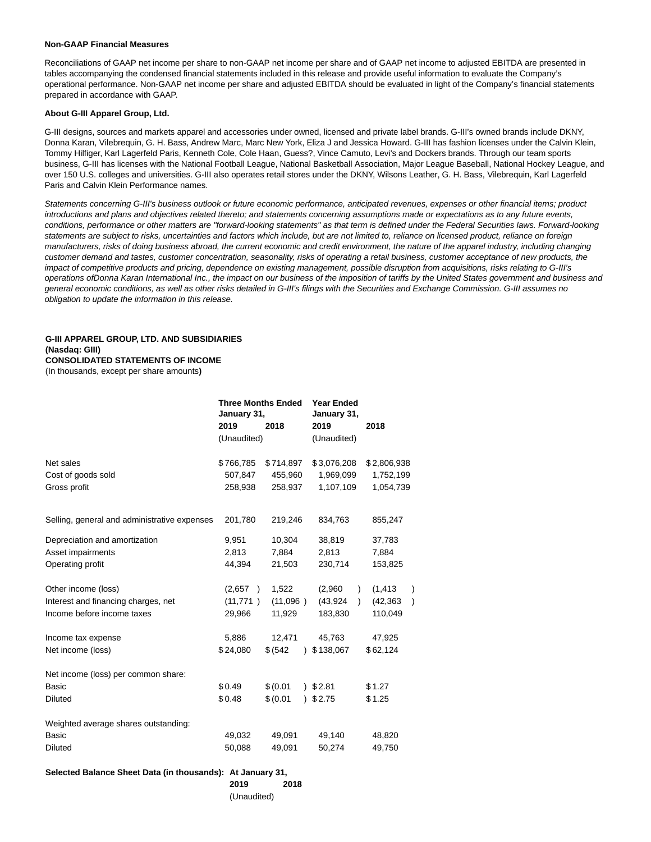#### **Non-GAAP Financial Measures**

Reconciliations of GAAP net income per share to non-GAAP net income per share and of GAAP net income to adjusted EBITDA are presented in tables accompanying the condensed financial statements included in this release and provide useful information to evaluate the Company's operational performance. Non-GAAP net income per share and adjusted EBITDA should be evaluated in light of the Company's financial statements prepared in accordance with GAAP.

#### **About G-III Apparel Group, Ltd.**

G-III designs, sources and markets apparel and accessories under owned, licensed and private label brands. G-III's owned brands include DKNY, Donna Karan, Vilebrequin, G. H. Bass, Andrew Marc, Marc New York, Eliza J and Jessica Howard. G-III has fashion licenses under the Calvin Klein, Tommy Hilfiger, Karl Lagerfeld Paris, Kenneth Cole, Cole Haan, Guess?, Vince Camuto, Levi's and Dockers brands. Through our team sports business, G-III has licenses with the National Football League, National Basketball Association, Major League Baseball, National Hockey League, and over 150 U.S. colleges and universities. G-III also operates retail stores under the DKNY, Wilsons Leather, G. H. Bass, Vilebrequin, Karl Lagerfeld Paris and Calvin Klein Performance names.

Statements concerning G-III's business outlook or future economic performance, anticipated revenues, expenses or other financial items; product introductions and plans and objectives related thereto; and statements concerning assumptions made or expectations as to any future events, conditions, performance or other matters are "forward-looking statements" as that term is defined under the Federal Securities laws. Forward-looking statements are subject to risks, uncertainties and factors which include, but are not limited to, reliance on licensed product, reliance on foreign manufacturers, risks of doing business abroad, the current economic and credit environment, the nature of the apparel industry, including changing customer demand and tastes, customer concentration, seasonality, risks of operating a retail business, customer acceptance of new products, the impact of competitive products and pricing, dependence on existing management, possible disruption from acquisitions, risks relating to G-III's operations ofDonna Karan International Inc., the impact on our business of the imposition of tariffs by the United States government and business and general economic conditions, as well as other risks detailed in G-III's filings with the Securities and Exchange Commission. G-III assumes no obligation to update the information in this release.

### **G-III APPAREL GROUP, LTD. AND SUBSIDIARIES (Nasdaq: GIII) CONSOLIDATED STATEMENTS OF INCOME**

(In thousands, except per share amounts**)**

|                                              | <b>Three Months Ended</b><br>January 31,<br>2019 | 2018      | <b>Year Ended</b><br>January 31,<br>2019 | 2018           |  |
|----------------------------------------------|--------------------------------------------------|-----------|------------------------------------------|----------------|--|
|                                              | (Unaudited)                                      |           | (Unaudited)                              |                |  |
|                                              |                                                  |           |                                          |                |  |
| Net sales                                    | \$766,785                                        | \$714,897 | \$3,076,208                              | \$2,806,938    |  |
| Cost of goods sold                           | 507,847                                          | 455,960   | 1,969,099                                | 1,752,199      |  |
| Gross profit                                 | 258,938                                          | 258,937   | 1,107,109                                | 1,054,739      |  |
| Selling, general and administrative expenses | 201,780                                          | 219,246   | 834,763                                  | 855,247        |  |
| Depreciation and amortization                | 9,951                                            | 10,304    | 38,819                                   | 37,783         |  |
| Asset impairments                            | 2,813                                            | 7,884     | 2,813                                    | 7,884          |  |
| Operating profit                             | 44,394                                           | 21,503    | 230,714                                  | 153,825        |  |
| Other income (loss)                          | (2,657)<br>$\lambda$                             | 1,522     | (2,960)                                  | (1, 413)       |  |
| Interest and financing charges, net          | (11, 771)<br>$\rightarrow$                       | (11,096)  | (43, 924)<br>$\lambda$                   | (42, 363)<br>) |  |
| Income before income taxes                   | 29,966                                           | 11,929    | 183,830                                  | 110,049        |  |
| Income tax expense                           | 5,886                                            | 12,471    | 45,763                                   | 47,925         |  |
| Net income (loss)                            | \$24,080                                         | \$ (542)  | \$138,067                                | \$62,124       |  |
| Net income (loss) per common share:          |                                                  |           |                                          |                |  |
| <b>Basic</b>                                 | \$0.49                                           | \$ (0.01) | 32.81                                    | \$1.27         |  |
| <b>Diluted</b>                               | \$0.48                                           | \$ (0.01) | 95.75                                    | \$1.25         |  |
| Weighted average shares outstanding:         |                                                  |           |                                          |                |  |
| <b>Basic</b>                                 | 49,032                                           | 49,091    | 49,140                                   | 48,820         |  |
| <b>Diluted</b>                               | 50,088                                           | 49,091    | 50,274                                   | 49,750         |  |

## **Selected Balance Sheet Data (in thousands): At January 31,**

**2019 2018**

(Unaudited)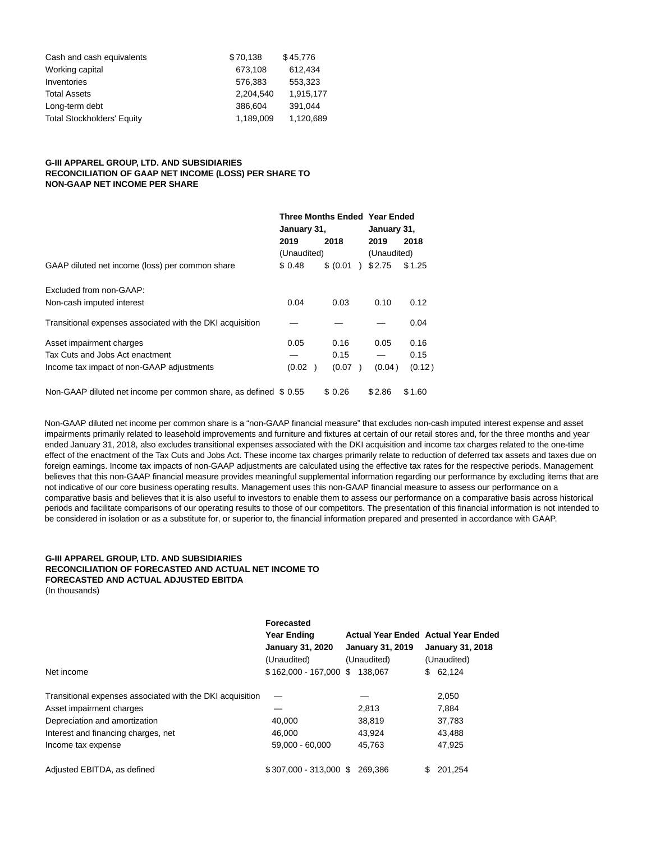| \$70,138  | \$45,776  |
|-----------|-----------|
| 673.108   | 612.434   |
| 576.383   | 553.323   |
| 2.204.540 | 1,915,177 |
| 386,604   | 391.044   |
| 1,189,009 | 1,120,689 |
|           |           |

# **G-III APPAREL GROUP, LTD. AND SUBSIDIARIES RECONCILIATION OF GAAP NET INCOME (LOSS) PER SHARE TO NON-GAAP NET INCOME PER SHARE**

|                                                                  |             |           | <b>Three Months Ended Year Ended</b><br>January 31, |        |  |
|------------------------------------------------------------------|-------------|-----------|-----------------------------------------------------|--------|--|
|                                                                  | January 31, |           |                                                     |        |  |
|                                                                  | 2019        | 2018      | 2019                                                | 2018   |  |
|                                                                  | (Unaudited) |           | (Unaudited)                                         |        |  |
| GAAP diluted net income (loss) per common share                  | \$ 0.48     | \$ (0.01) | \$2.75                                              | \$1.25 |  |
| Excluded from non-GAAP:                                          |             |           |                                                     |        |  |
| Non-cash imputed interest                                        | 0.04        | 0.03      | 0.10                                                | 0.12   |  |
| Transitional expenses associated with the DKI acquisition        |             |           |                                                     | 0.04   |  |
| Asset impairment charges                                         | 0.05        | 0.16      | 0.05                                                | 0.16   |  |
| Tax Cuts and Jobs Act enactment                                  |             | 0.15      | $\overline{\phantom{0}}$                            | 0.15   |  |
| Income tax impact of non-GAAP adjustments                        | (0.02)      | (0.07)    | (0.04)                                              | (0.12) |  |
| Non-GAAP diluted net income per common share, as defined \$ 0.55 |             | \$ 0.26   | \$2.86                                              | \$1.60 |  |

Non-GAAP diluted net income per common share is a "non-GAAP financial measure" that excludes non-cash imputed interest expense and asset impairments primarily related to leasehold improvements and furniture and fixtures at certain of our retail stores and, for the three months and year ended January 31, 2018, also excludes transitional expenses associated with the DKI acquisition and income tax charges related to the one-time effect of the enactment of the Tax Cuts and Jobs Act. These income tax charges primarily relate to reduction of deferred tax assets and taxes due on foreign earnings. Income tax impacts of non-GAAP adjustments are calculated using the effective tax rates for the respective periods. Management believes that this non-GAAP financial measure provides meaningful supplemental information regarding our performance by excluding items that are not indicative of our core business operating results. Management uses this non-GAAP financial measure to assess our performance on a comparative basis and believes that it is also useful to investors to enable them to assess our performance on a comparative basis across historical periods and facilitate comparisons of our operating results to those of our competitors. The presentation of this financial information is not intended to be considered in isolation or as a substitute for, or superior to, the financial information prepared and presented in accordance with GAAP.

# **G-III APPAREL GROUP, LTD. AND SUBSIDIARIES RECONCILIATION OF FORECASTED AND ACTUAL NET INCOME TO FORECASTED AND ACTUAL ADJUSTED EBITDA**

(In thousands)

|                                                           | Forecasted<br><b>Year Ending</b><br><b>January 31, 2020</b><br>(Unaudited) | <b>January 31, 2019</b><br>(Unaudited) | <b>Actual Year Ended Actual Year Ended</b><br><b>January 31, 2018</b><br>(Unaudited) |  |
|-----------------------------------------------------------|----------------------------------------------------------------------------|----------------------------------------|--------------------------------------------------------------------------------------|--|
| Net income                                                | $$162,000 - 167,000$ \$                                                    | 138.067                                | 62,124<br>S.                                                                         |  |
| Transitional expenses associated with the DKI acquisition |                                                                            |                                        | 2,050                                                                                |  |
| Asset impairment charges                                  |                                                                            | 2,813                                  | 7.884                                                                                |  |
| Depreciation and amortization                             | 40,000                                                                     | 38,819                                 | 37,783                                                                               |  |
| Interest and financing charges, net                       | 46,000                                                                     | 43,924                                 | 43,488                                                                               |  |
| Income tax expense                                        | 59.000 - 60.000                                                            | 45,763                                 | 47.925                                                                               |  |
| Adjusted EBITDA, as defined                               | $$307.000 - 313.000$ \$                                                    | 269.386                                | 201.254                                                                              |  |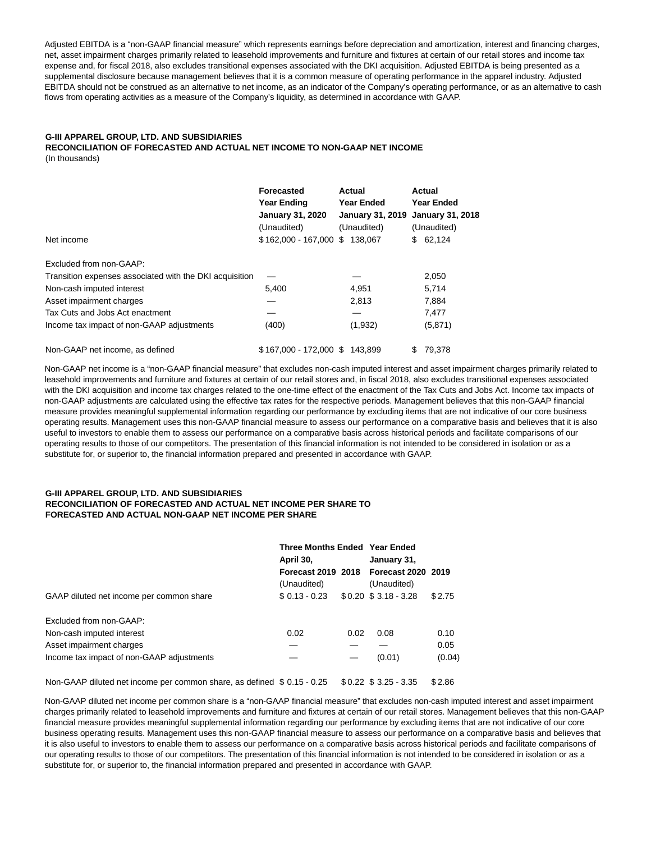Adjusted EBITDA is a "non-GAAP financial measure" which represents earnings before depreciation and amortization, interest and financing charges, net, asset impairment charges primarily related to leasehold improvements and furniture and fixtures at certain of our retail stores and income tax expense and, for fiscal 2018, also excludes transitional expenses associated with the DKI acquisition. Adjusted EBITDA is being presented as a supplemental disclosure because management believes that it is a common measure of operating performance in the apparel industry. Adjusted EBITDA should not be construed as an alternative to net income, as an indicator of the Company's operating performance, or as an alternative to cash flows from operating activities as a measure of the Company's liquidity, as determined in accordance with GAAP.

## **G-III APPAREL GROUP, LTD. AND SUBSIDIARIES**

**RECONCILIATION OF FORECASTED AND ACTUAL NET INCOME TO NON-GAAP NET INCOME** (In thousands)

|                                                         | Forecasted<br><b>Year Ending</b><br><b>January 31, 2020</b><br>(Unaudited) | Actual<br><b>Year Ended</b><br><b>January 31, 2019</b><br>(Unaudited) | Actual<br><b>Year Ended</b><br><b>January 31, 2018</b><br>(Unaudited) |  |
|---------------------------------------------------------|----------------------------------------------------------------------------|-----------------------------------------------------------------------|-----------------------------------------------------------------------|--|
| Net income                                              | \$162,000 - 167,000 \$138,067                                              |                                                                       | \$62,124                                                              |  |
| Excluded from non-GAAP:                                 |                                                                            |                                                                       |                                                                       |  |
| Transition expenses associated with the DKI acquisition |                                                                            |                                                                       | 2,050                                                                 |  |
| Non-cash imputed interest                               | 5,400                                                                      | 4,951                                                                 | 5.714                                                                 |  |
| Asset impairment charges                                |                                                                            | 2,813                                                                 | 7,884                                                                 |  |
| Tax Cuts and Jobs Act enactment                         |                                                                            |                                                                       | 7,477                                                                 |  |
| Income tax impact of non-GAAP adjustments               | (400)                                                                      | (1,932)                                                               | (5,871)                                                               |  |
| Non-GAAP net income, as defined                         | $$167.000 - 172.000$ \$                                                    | 143.899                                                               | 79.378<br>S                                                           |  |

Non-GAAP net income is a "non-GAAP financial measure" that excludes non-cash imputed interest and asset impairment charges primarily related to leasehold improvements and furniture and fixtures at certain of our retail stores and, in fiscal 2018, also excludes transitional expenses associated with the DKI acquisition and income tax charges related to the one-time effect of the enactment of the Tax Cuts and Jobs Act. Income tax impacts of non-GAAP adjustments are calculated using the effective tax rates for the respective periods. Management believes that this non-GAAP financial measure provides meaningful supplemental information regarding our performance by excluding items that are not indicative of our core business operating results. Management uses this non-GAAP financial measure to assess our performance on a comparative basis and believes that it is also useful to investors to enable them to assess our performance on a comparative basis across historical periods and facilitate comparisons of our operating results to those of our competitors. The presentation of this financial information is not intended to be considered in isolation or as a substitute for, or superior to, the financial information prepared and presented in accordance with GAAP.

## **G-III APPAREL GROUP, LTD. AND SUBSIDIARIES RECONCILIATION OF FORECASTED AND ACTUAL NET INCOME PER SHARE TO FORECASTED AND ACTUAL NON-GAAP NET INCOME PER SHARE**

|                                           | Three Months Ended Year Ended<br>April 30, |      | January 31,                       |        |
|-------------------------------------------|--------------------------------------------|------|-----------------------------------|--------|
|                                           | Forecast 2019 2018<br>(Unaudited)          |      | Forecast 2020 2019<br>(Unaudited) |        |
| GAAP diluted net income per common share  | $$0.13 - 0.23$                             |      | $$0.20$ $$3.18 - 3.28$            | \$2.75 |
| Excluded from non-GAAP:                   |                                            |      |                                   |        |
| Non-cash imputed interest                 | 0.02                                       | 0.02 | 0.08                              | 0.10   |
| Asset impairment charges                  |                                            |      |                                   | 0.05   |
| Income tax impact of non-GAAP adjustments |                                            |      | (0.01)                            | (0.04) |

Non-GAAP diluted net income per common share, as defined \$ 0.15 - 0.25 \$ 0.22 \$ 3.25 - 3.35 \$ 2.86

Non-GAAP diluted net income per common share is a "non-GAAP financial measure" that excludes non-cash imputed interest and asset impairment charges primarily related to leasehold improvements and furniture and fixtures at certain of our retail stores. Management believes that this non-GAAP financial measure provides meaningful supplemental information regarding our performance by excluding items that are not indicative of our core business operating results. Management uses this non-GAAP financial measure to assess our performance on a comparative basis and believes that it is also useful to investors to enable them to assess our performance on a comparative basis across historical periods and facilitate comparisons of our operating results to those of our competitors. The presentation of this financial information is not intended to be considered in isolation or as a substitute for, or superior to, the financial information prepared and presented in accordance with GAAP.